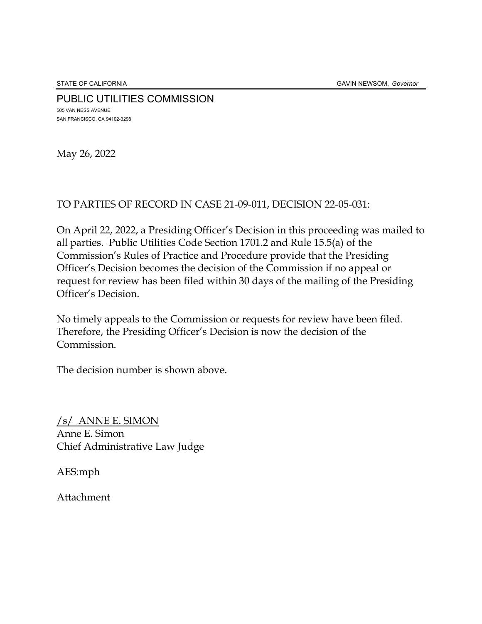STATE OF CALIFORNIA GAVIN NEWSOM, *Governor*

PUBLIC UTILITIES COMMISSION 505 VAN NESS AVENUE SAN FRANCISCO, CA 94102-3298

May 26, 2022

#### TO PARTIES OF RECORD IN CASE 21-09-011, DECISION 22-05-031:

On April 22, 2022, a Presiding Officer's Decision in this proceeding was mailed to all parties. Public Utilities Code Section 1701.2 and Rule 15.5(a) of the Commission's Rules of Practice and Procedure provide that the Presiding Officer's Decision becomes the decision of the Commission if no appeal or request for review has been filed within 30 days of the mailing of the Presiding Officer's Decision.

No timely appeals to the Commission or requests for review have been filed. Therefore, the Presiding Officer's Decision is now the decision of the Commission.

The decision number is shown above.

/s/ ANNE E. SIMON Anne E. Simon Chief Administrative Law Judge

AES:mph

Attachment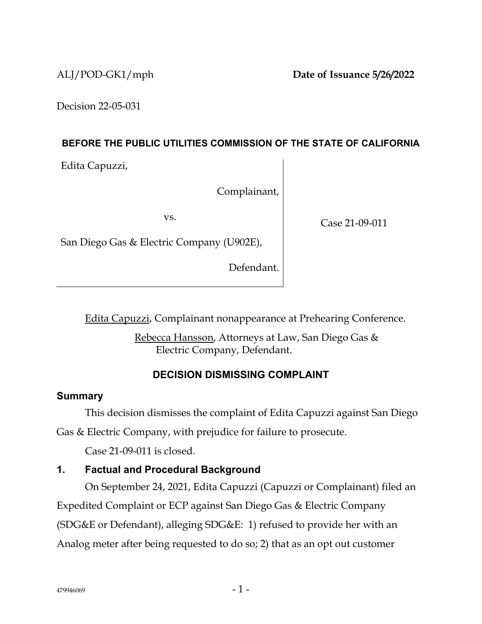Decision 22-05-031

#### **BEFORE THE PUBLIC UTILITIES COMMISSION OF THE STATE OF CALIFORNIA**

Edita Capuzzi,

Complainant,

vs.

Case 21-09-011

San Diego Gas & Electric Company (U902E),

Defendant.

Edita Capuzzi, Complainant nonappearance at Prehearing Conference.

Rebecca Hansson, Attorneys at Law, San Diego Gas & Electric Company, Defendant.

## **DECISION DISMISSING COMPLAINT**

## **Summary**

This decision dismisses the complaint of Edita Capuzzi against San Diego

Gas & Electric Company, with prejudice for failure to prosecute.

Case 21-09-011 is closed.

## **1. Factual and Procedural Background**

On September 24, 2021, Edita Capuzzi (Capuzzi or Complainant) filed an Expedited Complaint or ECP against San Diego Gas & Electric Company (SDG&E or Defendant), alleging SDG&E: 1) refused to provide her with an Analog meter after being requested to do so; 2) that as an opt out customer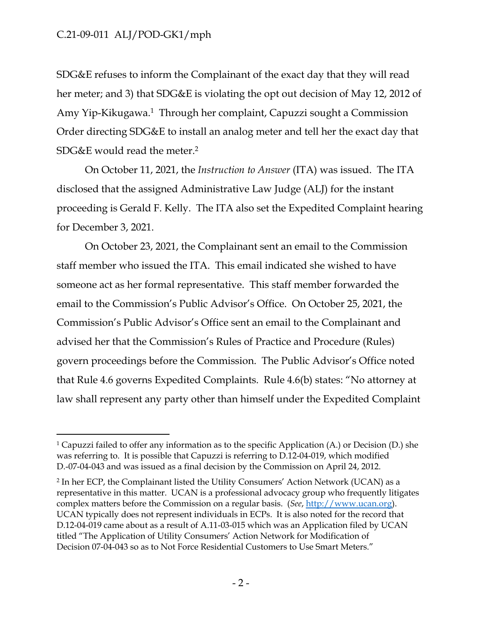SDG&E refuses to inform the Complainant of the exact day that they will read her meter; and 3) that SDG&E is violating the opt out decision of May 12, 2012 of Amy Yip-Kikugawa.<sup>1</sup> Through her complaint, Capuzzi sought a Commission Order directing SDG&E to install an analog meter and tell her the exact day that SDG&E would read the meter.<sup>2</sup>

On October 11, 2021, the *Instruction to Answer* (ITA) was issued. The ITA disclosed that the assigned Administrative Law Judge (ALJ) for the instant proceeding is Gerald F. Kelly. The ITA also set the Expedited Complaint hearing for December 3, 2021.

On October 23, 2021, the Complainant sent an email to the Commission staff member who issued the ITA. This email indicated she wished to have someone act as her formal representative. This staff member forwarded the email to the Commission's Public Advisor's Office. On October 25, 2021, the Commission's Public Advisor's Office sent an email to the Complainant and advised her that the Commission's Rules of Practice and Procedure (Rules) govern proceedings before the Commission. The Public Advisor's Office noted that Rule 4.6 governs Expedited Complaints. Rule 4.6(b) states: "No attorney at law shall represent any party other than himself under the Expedited Complaint

<sup>&</sup>lt;sup>1</sup> Capuzzi failed to offer any information as to the specific Application (A.) or Decision (D.) she was referring to. It is possible that Capuzzi is referring to D.12-04-019, which modified D.-07-04-043 and was issued as a final decision by the Commission on April 24, 2012.

<sup>2</sup> In her ECP, the Complainant listed the Utility Consumers' Action Network (UCAN) as a representative in this matter. UCAN is a professional advocacy group who frequently litigates complex matters before the Commission on a regular basis. (*See*, [http://www.ucan.org\)](about:blank). UCAN typically does not represent individuals in ECPs. It is also noted for the record that D.12-04-019 came about as a result of A.11-03-015 which was an Application filed by UCAN titled "The Application of Utility Consumers' Action Network for Modification of Decision 07-04-043 so as to Not Force Residential Customers to Use Smart Meters."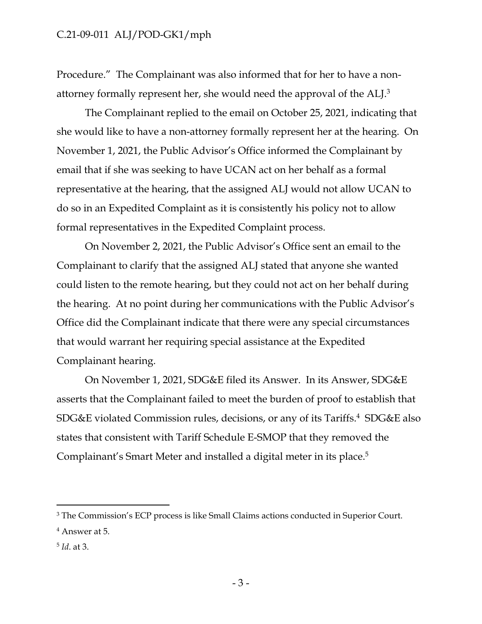Procedure." The Complainant was also informed that for her to have a nonattorney formally represent her, she would need the approval of the ALJ.<sup>3</sup>

The Complainant replied to the email on October 25, 2021, indicating that she would like to have a non-attorney formally represent her at the hearing. On November 1, 2021, the Public Advisor's Office informed the Complainant by email that if she was seeking to have UCAN act on her behalf as a formal representative at the hearing, that the assigned ALJ would not allow UCAN to do so in an Expedited Complaint as it is consistently his policy not to allow formal representatives in the Expedited Complaint process.

On November 2, 2021, the Public Advisor's Office sent an email to the Complainant to clarify that the assigned ALJ stated that anyone she wanted could listen to the remote hearing, but they could not act on her behalf during the hearing. At no point during her communications with the Public Advisor's Office did the Complainant indicate that there were any special circumstances that would warrant her requiring special assistance at the Expedited Complainant hearing.

On November 1, 2021, SDG&E filed its Answer. In its Answer, SDG&E asserts that the Complainant failed to meet the burden of proof to establish that SDG&E violated Commission rules, decisions, or any of its Tariffs.<sup>4</sup> SDG&E also states that consistent with Tariff Schedule E-SMOP that they removed the Complainant's Smart Meter and installed a digital meter in its place.<sup>5</sup>

<sup>&</sup>lt;sup>3</sup> The Commission's ECP process is like Small Claims actions conducted in Superior Court.

<sup>4</sup> Answer at 5.

<sup>5</sup> *Id*. at 3.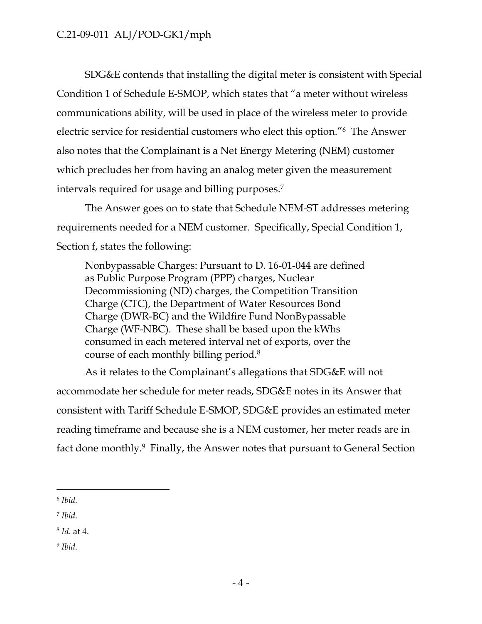SDG&E contends that installing the digital meter is consistent with Special Condition 1 of Schedule E-SMOP, which states that "a meter without wireless communications ability, will be used in place of the wireless meter to provide electric service for residential customers who elect this option."<sup>6</sup> The Answer also notes that the Complainant is a Net Energy Metering (NEM) customer which precludes her from having an analog meter given the measurement intervals required for usage and billing purposes.<sup>7</sup>

The Answer goes on to state that Schedule NEM-ST addresses metering requirements needed for a NEM customer. Specifically, Special Condition 1, Section f, states the following:

Nonbypassable Charges: Pursuant to D. 16-01-044 are defined as Public Purpose Program (PPP) charges, Nuclear Decommissioning (ND) charges, the Competition Transition Charge (CTC), the Department of Water Resources Bond Charge (DWR-BC) and the Wildfire Fund NonBypassable Charge (WF-NBC). These shall be based upon the kWhs consumed in each metered interval net of exports, over the course of each monthly billing period.<sup>8</sup>

As it relates to the Complainant's allegations that SDG&E will not accommodate her schedule for meter reads, SDG&E notes in its Answer that consistent with Tariff Schedule E-SMOP, SDG&E provides an estimated meter reading timeframe and because she is a NEM customer, her meter reads are in fact done monthly.<sup>9</sup> Finally, the Answer notes that pursuant to General Section

9 *Ibid*.

<sup>6</sup> *Ibid*.

<sup>7</sup> *Ibid*.

<sup>8</sup> *Id*. at 4.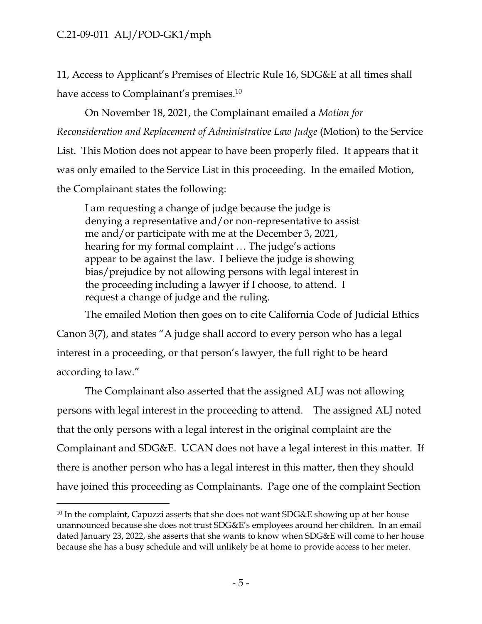11, Access to Applicant's Premises of Electric Rule 16, SDG&E at all times shall have access to Complainant's premises.<sup>10</sup>

On November 18, 2021, the Complainant emailed a *Motion for Reconsideration and Replacement of Administrative Law Judge* (Motion) to the Service List. This Motion does not appear to have been properly filed. It appears that it was only emailed to the Service List in this proceeding. In the emailed Motion, the Complainant states the following:

I am requesting a change of judge because the judge is denying a representative and/or non-representative to assist me and/or participate with me at the December 3, 2021, hearing for my formal complaint … The judge's actions appear to be against the law. I believe the judge is showing bias/prejudice by not allowing persons with legal interest in the proceeding including a lawyer if I choose, to attend. I request a change of judge and the ruling.

The emailed Motion then goes on to cite California Code of Judicial Ethics Canon 3(7), and states "A judge shall accord to every person who has a legal interest in a proceeding, or that person's lawyer, the full right to be heard according to law."

The Complainant also asserted that the assigned ALJ was not allowing persons with legal interest in the proceeding to attend. The assigned ALJ noted that the only persons with a legal interest in the original complaint are the Complainant and SDG&E. UCAN does not have a legal interest in this matter. If there is another person who has a legal interest in this matter, then they should have joined this proceeding as Complainants. Page one of the complaint Section

 $10$  In the complaint, Capuzzi asserts that she does not want SDG&E showing up at her house unannounced because she does not trust SDG&E's employees around her children. In an email dated January 23, 2022, she asserts that she wants to know when SDG&E will come to her house because she has a busy schedule and will unlikely be at home to provide access to her meter.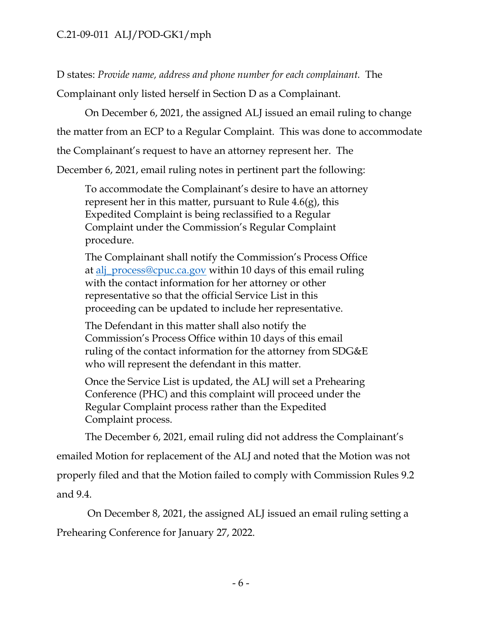D states: *Provide name, address and phone number for each complainant.* The Complainant only listed herself in Section D as a Complainant.

On December 6, 2021, the assigned ALJ issued an email ruling to change

the matter from an ECP to a Regular Complaint. This was done to accommodate

the Complainant's request to have an attorney represent her. The

December 6, 2021, email ruling notes in pertinent part the following:

To accommodate the Complainant's desire to have an attorney represent her in this matter, pursuant to Rule 4.6(g), this Expedited Complaint is being reclassified to a Regular Complaint under the Commission's Regular Complaint procedure.

The Complainant shall notify the Commission's Process Office at [alj\\_process@cpuc.ca.gov](about:blank) within 10 days of this email ruling with the contact information for her attorney or other representative so that the official Service List in this proceeding can be updated to include her representative.

The Defendant in this matter shall also notify the Commission's Process Office within 10 days of this email ruling of the contact information for the attorney from SDG&E who will represent the defendant in this matter.

Once the Service List is updated, the ALJ will set a Prehearing Conference (PHC) and this complaint will proceed under the Regular Complaint process rather than the Expedited Complaint process.

The December 6, 2021, email ruling did not address the Complainant's

emailed Motion for replacement of the ALJ and noted that the Motion was not properly filed and that the Motion failed to comply with Commission Rules 9.2 and 9.4.

On December 8, 2021, the assigned ALJ issued an email ruling setting a Prehearing Conference for January 27, 2022.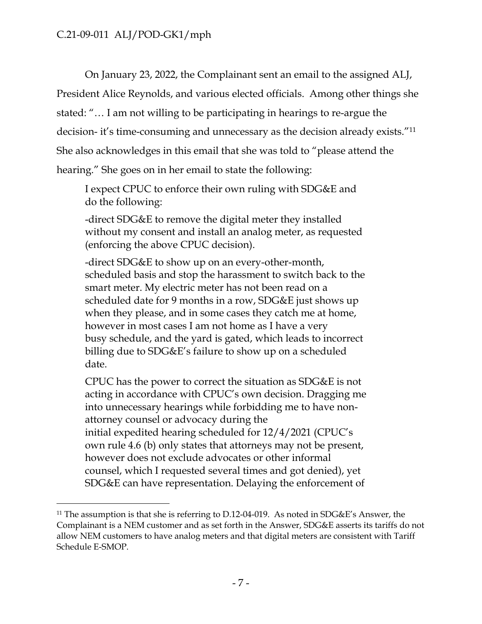On January 23, 2022, the Complainant sent an email to the assigned ALJ, President Alice Reynolds, and various elected officials. Among other things she stated: "… I am not willing to be participating in hearings to re-argue the decision- it's time-consuming and unnecessary as the decision already exists."<sup>11</sup> She also acknowledges in this email that she was told to "please attend the hearing." She goes on in her email to state the following:

I expect CPUC to enforce their own ruling with SDG&E and do the following:

-direct SDG&E to remove the digital meter they installed without my consent and install an analog meter, as requested (enforcing the above CPUC decision).

-direct SDG&E to show up on an every-other-month, scheduled basis and stop the harassment to switch back to the smart meter. My electric meter has not been read on a scheduled date for 9 months in a row, SDG&E just shows up when they please, and in some cases they catch me at home, however in most cases I am not home as I have a very busy schedule, and the yard is gated, which leads to incorrect billing due to SDG&E's failure to show up on a scheduled date.

CPUC has the power to correct the situation as SDG&E is not acting in accordance with CPUC's own decision. Dragging me into unnecessary hearings while forbidding me to have nonattorney counsel or advocacy during the initial expedited hearing scheduled for 12/4/2021 (CPUC's own rule 4.6 (b) only states that attorneys may not be present, however does not exclude advocates or other informal counsel, which I requested several times and got denied), yet SDG&E can have representation. Delaying the enforcement of

<sup>&</sup>lt;sup>11</sup> The assumption is that she is referring to D.12-04-019. As noted in SDG&E's Answer, the Complainant is a NEM customer and as set forth in the Answer, SDG&E asserts its tariffs do not allow NEM customers to have analog meters and that digital meters are consistent with Tariff Schedule E-SMOP.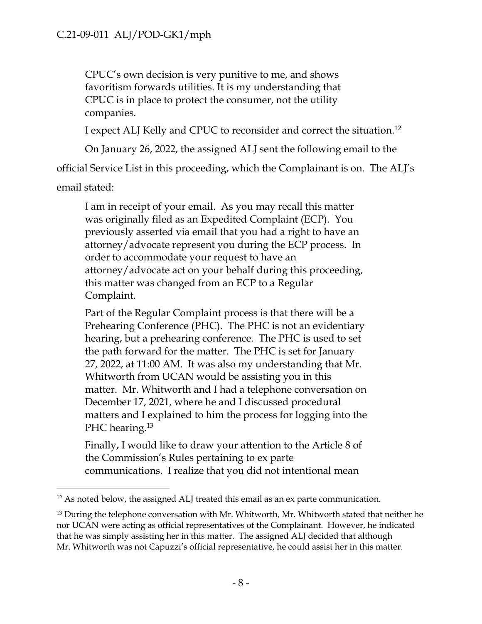CPUC's own decision is very punitive to me, and shows favoritism forwards utilities. It is my understanding that CPUC is in place to protect the consumer, not the utility companies.

I expect ALJ Kelly and CPUC to reconsider and correct the situation.<sup>12</sup>

On January 26, 2022, the assigned ALJ sent the following email to the

official Service List in this proceeding, which the Complainant is on. The ALJ's

email stated:

I am in receipt of your email. As you may recall this matter was originally filed as an Expedited Complaint (ECP). You previously asserted via email that you had a right to have an attorney/advocate represent you during the ECP process. In order to accommodate your request to have an attorney/advocate act on your behalf during this proceeding, this matter was changed from an ECP to a Regular Complaint.

Part of the Regular Complaint process is that there will be a Prehearing Conference (PHC). The PHC is not an evidentiary hearing, but a prehearing conference. The PHC is used to set the path forward for the matter. The PHC is set for January 27, 2022, at 11:00 AM. It was also my understanding that Mr. Whitworth from UCAN would be assisting you in this matter. Mr. Whitworth and I had a telephone conversation on December 17, 2021, where he and I discussed procedural matters and I explained to him the process for logging into the PHC hearing.<sup>13</sup>

Finally, I would like to draw your attention to the Article 8 of the Commission's Rules pertaining to ex parte communications. I realize that you did not intentional mean

<sup>&</sup>lt;sup>12</sup> As noted below, the assigned ALJ treated this email as an ex parte communication.

 $13$  During the telephone conversation with Mr. Whitworth, Mr. Whitworth stated that neither he nor UCAN were acting as official representatives of the Complainant. However, he indicated that he was simply assisting her in this matter. The assigned ALJ decided that although Mr. Whitworth was not Capuzzi's official representative, he could assist her in this matter.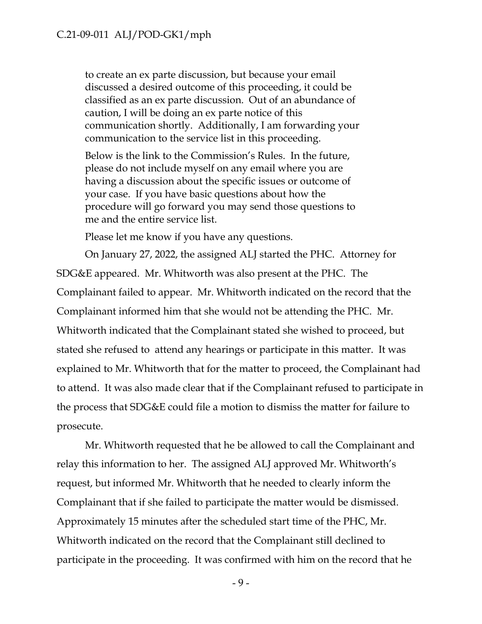to create an ex parte discussion, but because your email discussed a desired outcome of this proceeding, it could be classified as an ex parte discussion. Out of an abundance of caution, I will be doing an ex parte notice of this communication shortly. Additionally, I am forwarding your communication to the service list in this proceeding.

Below is the link to the Commission's Rules. In the future, please do not include myself on any email where you are having a discussion about the specific issues or outcome of your case. If you have basic questions about how the procedure will go forward you may send those questions to me and the entire service list.

Please let me know if you have any questions.

On January 27, 2022, the assigned ALJ started the PHC. Attorney for SDG&E appeared. Mr. Whitworth was also present at the PHC. The Complainant failed to appear. Mr. Whitworth indicated on the record that the Complainant informed him that she would not be attending the PHC. Mr. Whitworth indicated that the Complainant stated she wished to proceed, but stated she refused to attend any hearings or participate in this matter. It was explained to Mr. Whitworth that for the matter to proceed, the Complainant had to attend. It was also made clear that if the Complainant refused to participate in the process that SDG&E could file a motion to dismiss the matter for failure to prosecute.

Mr. Whitworth requested that he be allowed to call the Complainant and relay this information to her. The assigned ALJ approved Mr. Whitworth's request, but informed Mr. Whitworth that he needed to clearly inform the Complainant that if she failed to participate the matter would be dismissed. Approximately 15 minutes after the scheduled start time of the PHC, Mr. Whitworth indicated on the record that the Complainant still declined to participate in the proceeding. It was confirmed with him on the record that he

- 9 -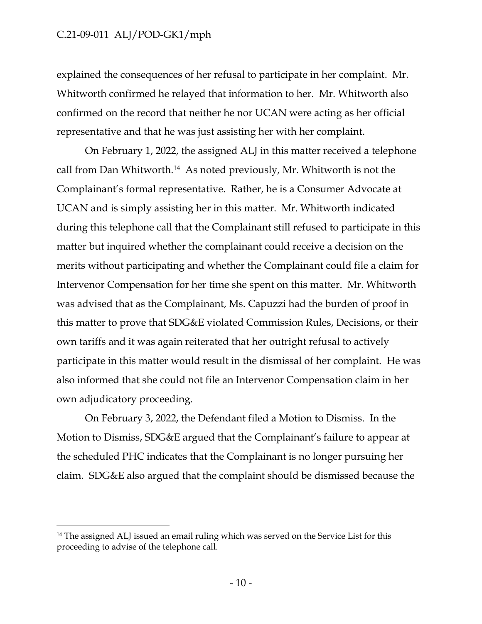explained the consequences of her refusal to participate in her complaint. Mr. Whitworth confirmed he relayed that information to her. Mr. Whitworth also confirmed on the record that neither he nor UCAN were acting as her official representative and that he was just assisting her with her complaint.

On February 1, 2022, the assigned ALJ in this matter received a telephone call from Dan Whitworth.<sup>14</sup> As noted previously, Mr. Whitworth is not the Complainant's formal representative. Rather, he is a Consumer Advocate at UCAN and is simply assisting her in this matter. Mr. Whitworth indicated during this telephone call that the Complainant still refused to participate in this matter but inquired whether the complainant could receive a decision on the merits without participating and whether the Complainant could file a claim for Intervenor Compensation for her time she spent on this matter. Mr. Whitworth was advised that as the Complainant, Ms. Capuzzi had the burden of proof in this matter to prove that SDG&E violated Commission Rules, Decisions, or their own tariffs and it was again reiterated that her outright refusal to actively participate in this matter would result in the dismissal of her complaint. He was also informed that she could not file an Intervenor Compensation claim in her own adjudicatory proceeding.

On February 3, 2022, the Defendant filed a Motion to Dismiss. In the Motion to Dismiss, SDG&E argued that the Complainant's failure to appear at the scheduled PHC indicates that the Complainant is no longer pursuing her claim. SDG&E also argued that the complaint should be dismissed because the

<sup>&</sup>lt;sup>14</sup> The assigned ALJ issued an email ruling which was served on the Service List for this proceeding to advise of the telephone call.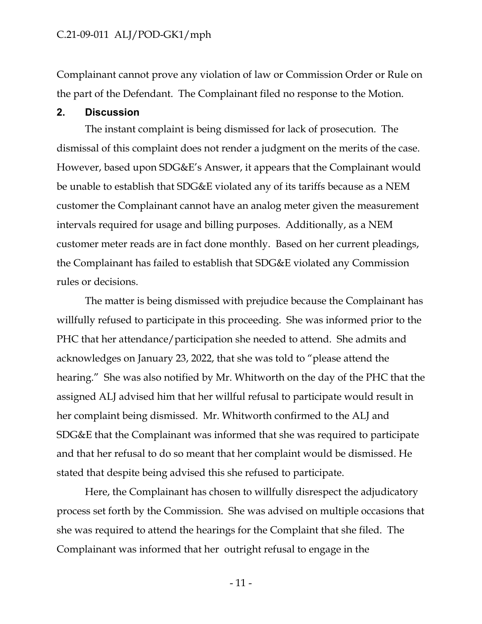Complainant cannot prove any violation of law or Commission Order or Rule on the part of the Defendant. The Complainant filed no response to the Motion.

#### **2. Discussion**

The instant complaint is being dismissed for lack of prosecution. The dismissal of this complaint does not render a judgment on the merits of the case. However, based upon SDG&E's Answer, it appears that the Complainant would be unable to establish that SDG&E violated any of its tariffs because as a NEM customer the Complainant cannot have an analog meter given the measurement intervals required for usage and billing purposes. Additionally, as a NEM customer meter reads are in fact done monthly. Based on her current pleadings, the Complainant has failed to establish that SDG&E violated any Commission rules or decisions.

The matter is being dismissed with prejudice because the Complainant has willfully refused to participate in this proceeding. She was informed prior to the PHC that her attendance/participation she needed to attend. She admits and acknowledges on January 23, 2022, that she was told to "please attend the hearing." She was also notified by Mr. Whitworth on the day of the PHC that the assigned ALJ advised him that her willful refusal to participate would result in her complaint being dismissed. Mr. Whitworth confirmed to the ALJ and SDG&E that the Complainant was informed that she was required to participate and that her refusal to do so meant that her complaint would be dismissed. He stated that despite being advised this she refused to participate.

Here, the Complainant has chosen to willfully disrespect the adjudicatory process set forth by the Commission. She was advised on multiple occasions that she was required to attend the hearings for the Complaint that she filed. The Complainant was informed that her outright refusal to engage in the

- 11 -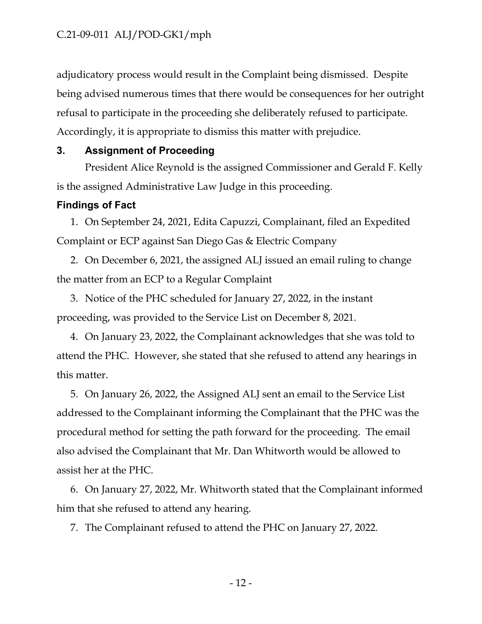adjudicatory process would result in the Complaint being dismissed. Despite being advised numerous times that there would be consequences for her outright refusal to participate in the proceeding she deliberately refused to participate. Accordingly, it is appropriate to dismiss this matter with prejudice.

#### **3. Assignment of Proceeding**

President Alice Reynold is the assigned Commissioner and Gerald F. Kelly is the assigned Administrative Law Judge in this proceeding.

#### **Findings of Fact**

1. On September 24, 2021, Edita Capuzzi, Complainant, filed an Expedited Complaint or ECP against San Diego Gas & Electric Company

2. On December 6, 2021, the assigned ALJ issued an email ruling to change the matter from an ECP to a Regular Complaint

3. Notice of the PHC scheduled for January 27, 2022, in the instant proceeding, was provided to the Service List on December 8, 2021.

4. On January 23, 2022, the Complainant acknowledges that she was told to attend the PHC. However, she stated that she refused to attend any hearings in this matter.

5. On January 26, 2022, the Assigned ALJ sent an email to the Service List addressed to the Complainant informing the Complainant that the PHC was the procedural method for setting the path forward for the proceeding. The email also advised the Complainant that Mr. Dan Whitworth would be allowed to assist her at the PHC.

6. On January 27, 2022, Mr. Whitworth stated that the Complainant informed him that she refused to attend any hearing.

7. The Complainant refused to attend the PHC on January 27, 2022.